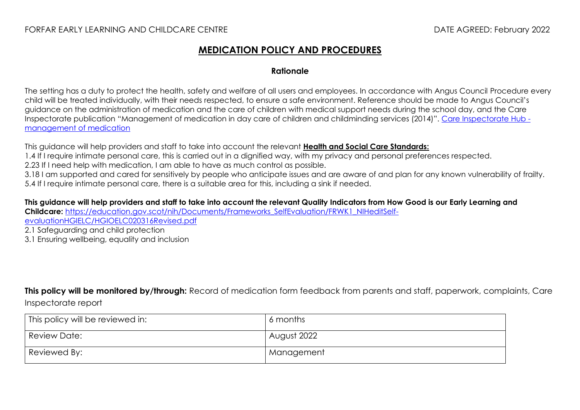#### FORFAR EARLY LEARNING AND CHILDCARE CENTRE DATE AGREED: February 2022

### **MEDICATION POLICY AND PROCEDURES**

#### **Rationale**

The setting has a duty to protect the health, safety and welfare of all users and employees. In accordance with Angus Council Procedure every child will be treated individually, with their needs respected, to ensure a safe environment. Reference should be made to Angus Council's guidance on the administration of medication and the care of children with medical support needs during the school day, and the Care Inspectorate publication "Management of medication in day care of children and childminding services (2014)". [Care Inspectorate Hub](https://hub.careinspectorate.com/media/1549/management-of-medication-in-daycare-of-children-and-childminding.pdf)  [management of medication](https://hub.careinspectorate.com/media/1549/management-of-medication-in-daycare-of-children-and-childminding.pdf)

This guidance will help providers and staff to take into account the relevant **[Health and Social Care Standards:](https://www.gov.scot/binaries/content/documents/govscot/publications/advice-and-guidance/2017/06/health-social-care-standards-support-life/documents/00520693-pdf/00520693-pdf/govscot%3Adocument/00520693.pdf)**

1.4 If I require intimate personal care, this is carried out in a dignified way, with my privacy and personal preferences respected.

2.23 If I need help with medication, I am able to have as much control as possible.

3.18 I am supported and cared for sensitively by people who anticipate issues and are aware of and plan for any known vulnerability of frailty. 5.4 If I require intimate personal care, there is a suitable area for this, including a sink if needed.

**This guidance will help providers and staff to take into account the relevant Quality Indicators from How Good is our Early Learning and Childcare:** [https://education.gov.scot/nih/Documents/Frameworks\\_SelfEvaluation/FRWK1\\_NIHeditSelf-](https://education.gov.scot/nih/Documents/Frameworks_SelfEvaluation/FRWK1_NIHeditSelf-evaluationHGIELC/HGIOELC020316Revised.pdf)

[evaluationHGIELC/HGIOELC020316Revised.pdf](https://education.gov.scot/nih/Documents/Frameworks_SelfEvaluation/FRWK1_NIHeditSelf-evaluationHGIELC/HGIOELC020316Revised.pdf)

2.1 Safeguarding and child protection

3.1 Ensuring wellbeing, equality and inclusion

**This policy will be monitored by/through:** Record of medication form feedback from parents and staff, paperwork, complaints, Care Inspectorate report

| This policy will be reviewed in: | 6 months    |
|----------------------------------|-------------|
| <b>Review Date:</b>              | August 2022 |
| Reviewed By:                     | Management  |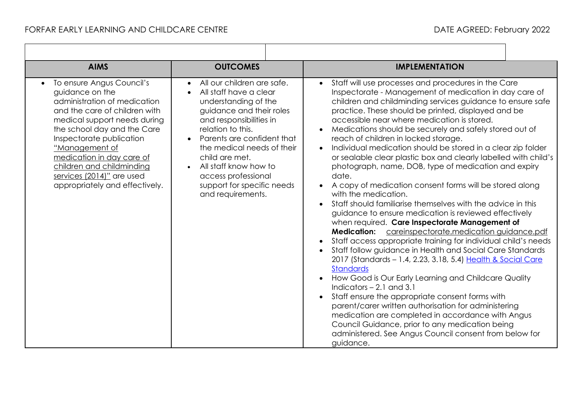$\Gamma$ 

| <b>AIMS</b>                                                                                                                                                                                                                                                                                                                                                      | <b>OUTCOMES</b>                                                                                                                                                                                                                                                                                                                                                     | <b>IMPLEMENTATION</b>                                                                                                                                                                                                                                                                                                                                                                                                                                                                                                                                                                                                                                                                                                                                                                                                                                                                                                                                                                                                                                                                                                                                                                                                                                                                                                                                                                                                                                                                                                  |
|------------------------------------------------------------------------------------------------------------------------------------------------------------------------------------------------------------------------------------------------------------------------------------------------------------------------------------------------------------------|---------------------------------------------------------------------------------------------------------------------------------------------------------------------------------------------------------------------------------------------------------------------------------------------------------------------------------------------------------------------|------------------------------------------------------------------------------------------------------------------------------------------------------------------------------------------------------------------------------------------------------------------------------------------------------------------------------------------------------------------------------------------------------------------------------------------------------------------------------------------------------------------------------------------------------------------------------------------------------------------------------------------------------------------------------------------------------------------------------------------------------------------------------------------------------------------------------------------------------------------------------------------------------------------------------------------------------------------------------------------------------------------------------------------------------------------------------------------------------------------------------------------------------------------------------------------------------------------------------------------------------------------------------------------------------------------------------------------------------------------------------------------------------------------------------------------------------------------------------------------------------------------------|
| To ensure Angus Council's<br>$\bullet$<br>guidance on the<br>administration of medication<br>and the care of children with<br>medical support needs during<br>the school day and the Care<br>Inspectorate publication<br>"Management of<br>medication in day care of<br>children and childminding<br>services (2014)" are used<br>appropriately and effectively. | All our children are safe.<br>All staff have a clear<br>$\bullet$<br>understanding of the<br>guidance and their roles<br>and responsibilities in<br>relation to this.<br>Parents are confident that<br>the medical needs of their<br>child are met.<br>All staff know how to<br>$\bullet$<br>access professional<br>support for specific needs<br>and requirements. | Staff will use processes and procedures in the Care<br>Inspectorate - Management of medication in day care of<br>children and childminding services guidance to ensure safe<br>practice. These should be printed, displayed and be<br>accessible near where medication is stored.<br>Medications should be securely and safely stored out of<br>reach of children in locked storage.<br>Individual medication should be stored in a clear zip folder<br>or sealable clear plastic box and clearly labelled with child's<br>photograph, name, DOB, type of medication and expiry<br>date.<br>A copy of medication consent forms will be stored along<br>with the medication.<br>Staff should familiarise themselves with the advice in this<br>guidance to ensure medication is reviewed effectively<br>when required. Care Inspectorate Management of<br><b>Medication:</b> careinspectorate.medication guidance.pdf<br>Staff access appropriate training for individual child's needs<br>Staff follow guidance in Health and Social Care Standards<br>2017 (Standards - 1.4, 2.23, 3.18, 5.4) Health & Social Care<br><b>Standards</b><br>How Good is Our Early Learning and Childcare Quality<br>Indicators $-2.1$ and 3.1<br>Staff ensure the appropriate consent forms with<br>parent/carer written authorisation for administering<br>medication are completed in accordance with Angus<br>Council Guidance, prior to any medication being<br>administered. See Angus Council consent from below for<br>guidance. |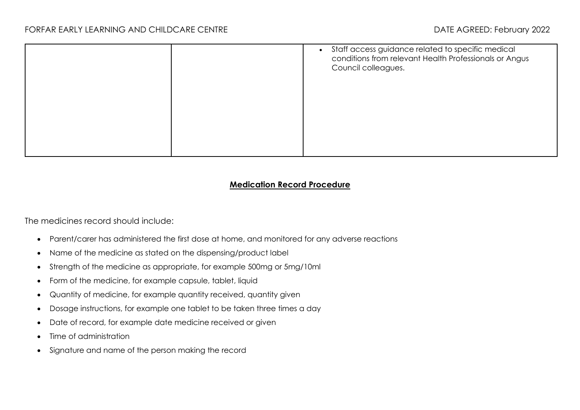|  | • Staff access guidance related to specific medical<br>conditions from relevant Health Professionals or Angus<br>Council colleagues. |
|--|--------------------------------------------------------------------------------------------------------------------------------------|
|  |                                                                                                                                      |
|  |                                                                                                                                      |
|  |                                                                                                                                      |

#### **Medication Record Procedure**

The medicines record should include:

- Parent/carer has administered the first dose at home, and monitored for any adverse reactions
- Name of the medicine as stated on the dispensing/product label
- Strength of the medicine as appropriate, for example 500mg or 5mg/10ml
- Form of the medicine, for example capsule, tablet, liquid
- Quantity of medicine, for example quantity received, quantity given
- Dosage instructions, for example one tablet to be taken three times a day
- Date of record, for example date medicine received or given
- Time of administration
- Signature and name of the person making the record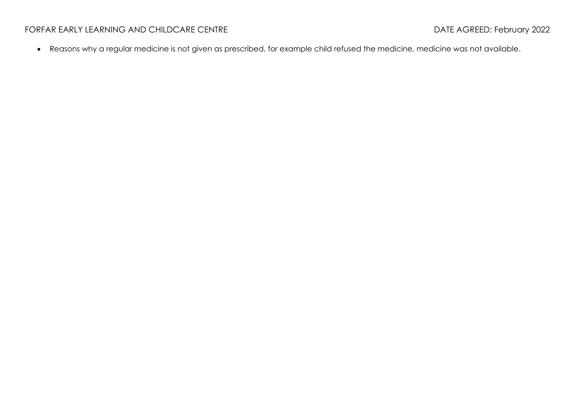## FORFAR EARLY LEARNING AND CHILDCARE CENTRE **Example 2022** DATE AGREED: February 2022

• Reasons why a regular medicine is not given as prescribed, for example child refused the medicine, medicine was not available.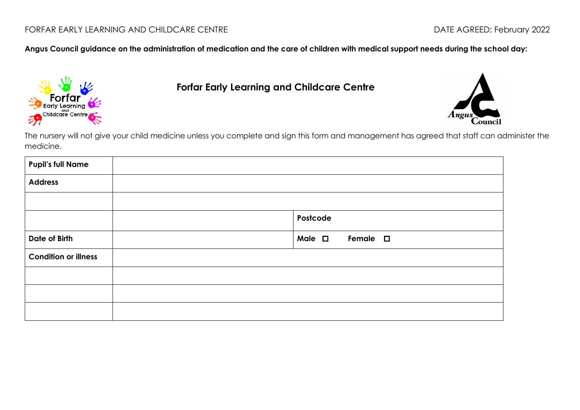**Angus Council guidance on the administration of medication and the care of children with medical support needs during the school day:**



 **Forfar Early Learning and Childcare Centre**



The nursery will not give your child medicine unless you complete and sign this form and management has agreed that staff can administer the medicine.

| <b>Pupil's full Name</b>    |                                    |
|-----------------------------|------------------------------------|
| <b>Address</b>              |                                    |
|                             |                                    |
|                             | Postcode                           |
| Date of Birth               | Male $\square$<br>Female $\square$ |
| <b>Condition or illness</b> |                                    |
|                             |                                    |
|                             |                                    |
|                             |                                    |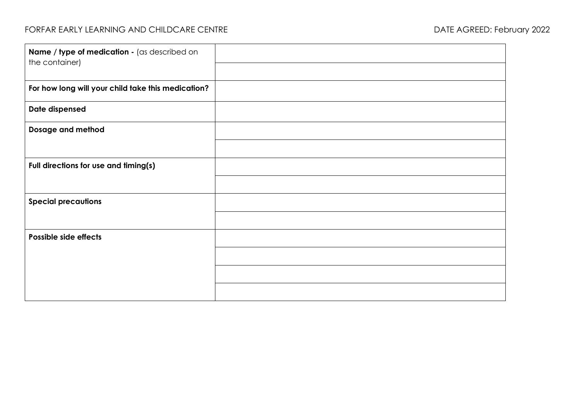| Name / type of medication - (as described on<br>the container) |  |
|----------------------------------------------------------------|--|
|                                                                |  |
| For how long will your child take this medication?             |  |
| Date dispensed                                                 |  |
| Dosage and method                                              |  |
|                                                                |  |
| Full directions for use and timing(s)                          |  |
|                                                                |  |
| <b>Special precautions</b>                                     |  |
|                                                                |  |
| Possible side effects                                          |  |
|                                                                |  |
|                                                                |  |
|                                                                |  |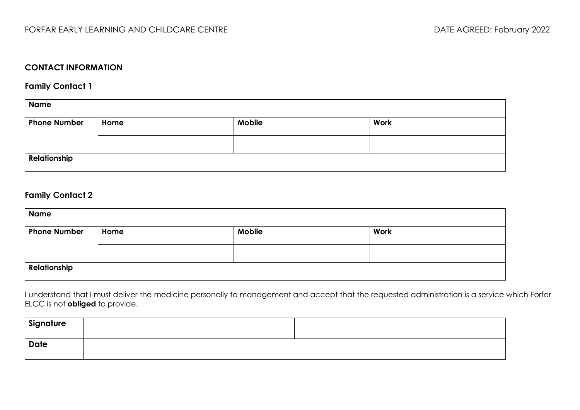## **CONTACT INFORMATION**

**Family Contact 1**

| <b>Name</b>         |      |               |      |
|---------------------|------|---------------|------|
| <b>Phone Number</b> | Home | <b>Mobile</b> | Work |
|                     |      |               |      |
| Relationship        |      |               |      |

#### **Family Contact 2**

| <b>Name</b>         |      |               |      |
|---------------------|------|---------------|------|
| <b>Phone Number</b> | Home | <b>Mobile</b> | Work |
|                     |      |               |      |
| Relationship        |      |               |      |

I understand that I must deliver the medicine personally to management and accept that the requested administration is a service which Forfar ELCC is not **obliged** to provide.

| Signature   |  |
|-------------|--|
| <b>Date</b> |  |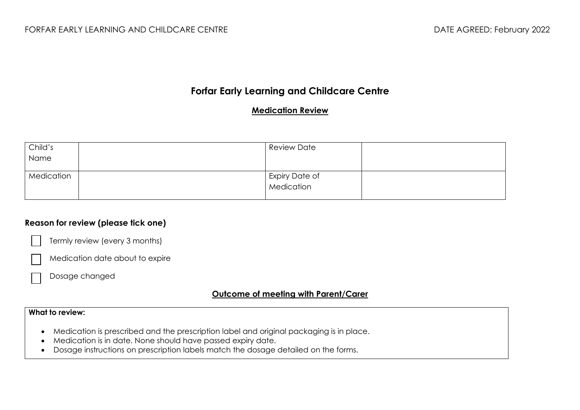# **Forfar Early Learning and Childcare Centre**

#### **Medication Review**

| Child's    | <b>Review Date</b>           |  |
|------------|------------------------------|--|
| Name       |                              |  |
|            |                              |  |
| Medication | Expiry Date of<br>Medication |  |
|            |                              |  |
|            |                              |  |

#### **Reason for review (please tick one)**



Termly review (every 3 months)

Medication date about to expire

Dosage changed

### **Outcome of meeting with Parent/Carer**

#### **What to review:**

- Medication is prescribed and the prescription label and original packaging is in place.
- Medication is in date. None should have passed expiry date.
- Dosage instructions on prescription labels match the dosage detailed on the forms.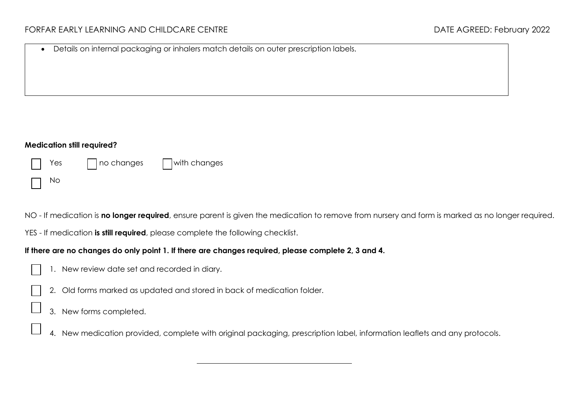#### **Medication still required?**

| $\vert \vert$ Yes | $\Box$ no changes $\Box$ with changes |
|-------------------|---------------------------------------|
| No                |                                       |

NO - If medication is **no longer required**, ensure parent is given the medication to remove from nursery and form is marked as no longer required.

YES - If medication **is still required**, please complete the following checklist.

#### **If there are no changes do only point 1. If there are changes required, please complete 2, 3 and 4.**

- 1. New review date set and recorded in diary.
- 2. Old forms marked as updated and stored in back of medication folder.
- 3. New forms completed.
- 4. New medication provided, complete with original packaging, prescription label, information leaflets and any protocols.